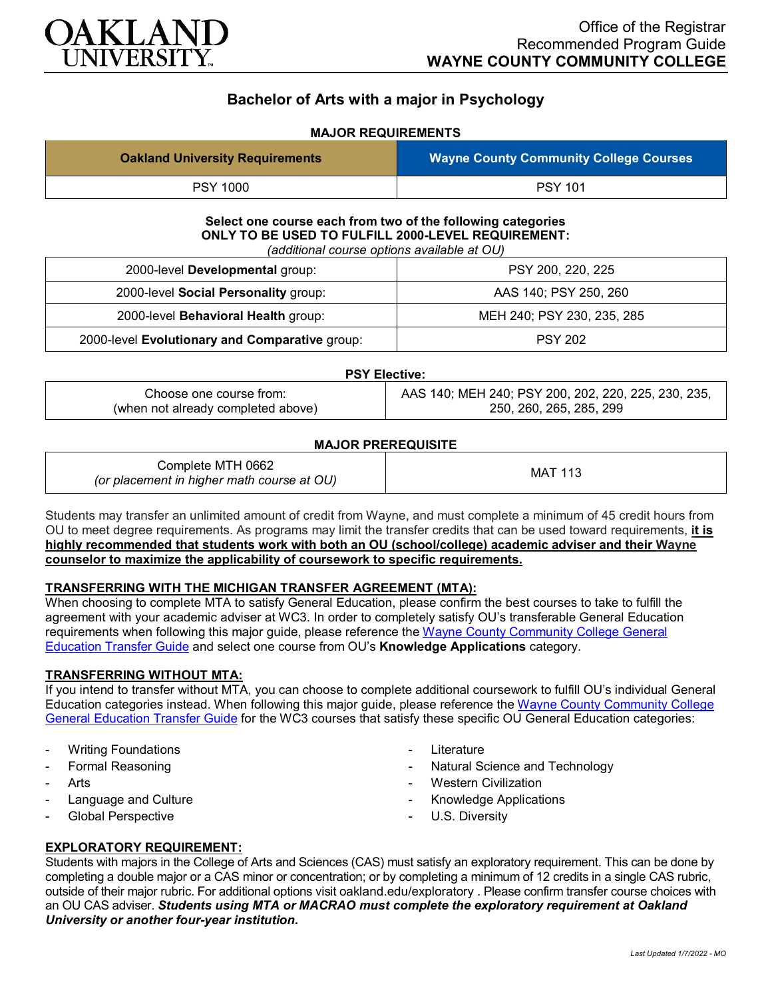

# **Bachelor of Arts with a major in Psychology**

## **MAJOR REQUIREMENTS**

| <b>Oakland University Requirements</b> | <b>Wayne County Community College Courses</b> |
|----------------------------------------|-----------------------------------------------|
| <b>PSY 1000</b>                        | <b>PSY 101</b>                                |

**Select one course each from two of the following categories ONLY TO BE USED TO FULFILL 2000-LEVEL REQUIREMENT:** *(additional course options available at OU)*

| 2000-level Developmental group:                | PSY 200, 220, 225          |
|------------------------------------------------|----------------------------|
| 2000-level Social Personality group:           | AAS 140; PSY 250, 260      |
| 2000-level Behavioral Health group:            | MEH 240; PSY 230, 235, 285 |
| 2000-level Evolutionary and Comparative group: | <b>PSY 202</b>             |

| <b>PSY Elective:</b>               |                                                     |
|------------------------------------|-----------------------------------------------------|
| Choose one course from:            | AAS 140; MEH 240; PSY 200, 202, 220, 225, 230, 235, |
| (when not already completed above) | 250, 260, 265, 285, 299                             |

### **MAJOR PREREQUISITE**

| Complete MTH 0662<br>(or placement in higher math course at OU) | MAT 113 |
|-----------------------------------------------------------------|---------|
|-----------------------------------------------------------------|---------|

Students may transfer an unlimited amount of credit from Wayne, and must complete a minimum of 45 credit hours from OU to meet degree requirements. As programs may limit the transfer credits that can be used toward requirements, **it is highly recommended that students work with both an OU (school/college) academic adviser and their Wayne counselor to maximize the applicability of coursework to specific requirements.**

#### **TRANSFERRING WITH THE MICHIGAN TRANSFER AGREEMENT (MTA):**

When choosing to complete MTA to satisfy General Education, please confirm the best courses to take to fulfill the agreement with your academic adviser at WC3. In order to completely satisfy OU's transferable General Education requirements when following this major guide, please reference the [Wayne County Community College General](https://www.oakland.edu/Assets/Oakland/program-guides/wayne-county-community-college/university-general-education-requirements/Wayne%20Gen%20Ed.pdf)  [Education Transfer Guide](https://www.oakland.edu/Assets/Oakland/program-guides/wayne-county-community-college/university-general-education-requirements/Wayne%20Gen%20Ed.pdf) and select one course from OU's **Knowledge Applications** category.

#### **TRANSFERRING WITHOUT MTA:**

If you intend to transfer without MTA, you can choose to complete additional coursework to fulfill OU's individual General Education categories instead. When following this major guide, please reference the [Wayne County Community College](https://www.oakland.edu/Assets/Oakland/program-guides/wayne-county-community-college/university-general-education-requirements/Wayne%20Gen%20Ed.pdf)  [General Education Transfer Guide](https://www.oakland.edu/Assets/Oakland/program-guides/wayne-county-community-college/university-general-education-requirements/Wayne%20Gen%20Ed.pdf) for the WC3 courses that satisfy these specific OU General Education categories:

- **Writing Foundations**
- Formal Reasoning
- **Arts**
- Language and Culture
- Global Perspective
- **Literature**
- Natural Science and Technology
- **Western Civilization**
- Knowledge Applications
- U.S. Diversity

## **EXPLORATORY REQUIREMENT:**

Students with majors in the College of Arts and Sciences (CAS) must satisfy an exploratory requirement. This can be done by completing a double major or a CAS minor or concentration; or by completing a minimum of 12 credits in a single CAS rubric, outside of their major rubric. For additional options visit [oakland.edu/exploratory](http://www.oakland.edu/exploratory) . Please confirm transfer course choices with an OU CAS adviser. *Students using MTA or MACRAO must complete the exploratory requirement at Oakland University or another four-year institution.*